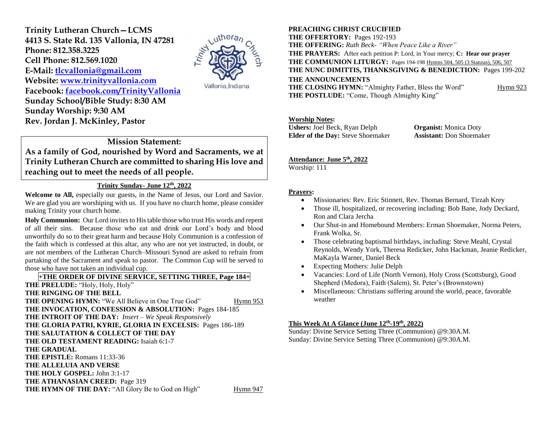**Trinity Lutheran Church—LCMS 4413 S. State Rd. 135 Vallonia, IN 47281 Phone: 812.358.3225 Cell Phone: 812.569.1020 E-Mail: [tlcvallonia@gmail.com](mailto:tlcvallonia@gmail.com) Website: [www.trinityvallonia.com](http://www.trinityvallonia.com/) Facebook: [facebook.com/TrinityVallonia](http://facebook.com/TrinityVallonia) Sunday School/Bible Study: 8:30 AM Sunday Worship: 9:30 AM Rev. Jordan J. McKinley, Pastor**



Vallonia, Indiana

# **Mission Statement: As a family of God, nourished by Word and Sacraments, we at Trinity Lutheran Church are committed to sharing His love and reaching out to meet the needs of all people.**

# **Trinity Sunday- June 12th, 2022**

**Welcome to All,** especially our guests, in the Name of Jesus, our Lord and Savior. We are glad you are worshiping with us. If you have no church home, please consider making Trinity your church home.

**Holy Communion:** Our Lord invites to His table those who trust His words and repent of all their sins. Because those who eat and drink our Lord's body and blood unworthily do so to their great harm and because Holy Communion is a confession of the faith which is confessed at this altar, any who are not yet instructed, in doubt, or are not members of the Lutheran Church–Missouri Synod are asked to refrain from partaking of the Sacrament and speak to pastor. The Common Cup will be served to those who have not taken an individual cup.

# **+THE ORDER OF DIVINE SERVICE, SETTING THREE, Page 184+**

**THE PRELUDE:** "Holy, Holy, Holy" **THE RINGING OF THE BELL THE OPENING HYMN:** "We All Believe in One True God" Hymn 953 **THE INVOCATION, CONFESSION & ABSOLUTION:** Pages 184-185 **THE INTROIT OF THE DAY:** *Insert – We Speak Responsively* **THE GLORIA PATRI, KYRIE, GLORIA IN EXCELSIS:** Pages 186-189 **THE SALUTATION & COLLECT OF THE DAY THE OLD TESTAMENT READING:** Isaiah 6:1-7 **THE GRADUAL THE EPISTLE:** Romans 11:33-36 **THE ALLELUIA AND VERSE THE HOLY GOSPEL:** John 3:1-17 **THE ATHANASIAN CREED:** Page 319 **THE HYMN OF THE DAY:** "All Glory Be to God on High" Hymn 947

#### **PREACHING CHRIST CRUCIFIED**

**THE OFFERTORY:** Pages 192-193 **THE OFFERING:** *Ruth Beck- "When Peace Like a River"* **THE PRAYERS:** After each petition P: Lord, in Your mercy; **C: Hear our prayer THE COMMUNION LITURGY:** Pages 194-198 Hymns 504, 505 (3 Stanzas), 506, 507 **THE NUNC DIMITTIS, THANKSGIVING & BENEDICTION:** Pages 199-202 **THE ANNOUNCEMENTS THE CLOSING HYMN:** "Almighty Father, Bless the Word" Hymn 923 **THE POSTLUDE:** "Come, Though Almighty King"

#### **Worship Notes:**

**Ushers:** Joel Beck, Ryan Delph **Organist:** Monica Doty **Elder of the Day:** Steve Shoemaker **Assistant:** Don Shoemaker

#### **Attendance: June 5 th, 2022**

Worship: 111

#### **Prayers:**

- Missionaries: Rev. Eric Stinnett, Rev. Thomas Bernard, Tirzah Krey
- Those ill, hospitalized, or recovering including: Bob Bane, Jody Deckard, Ron and Clara Jercha
- Our Shut-in and Homebound Members: Erman Shoemaker, Norma Peters, Frank Wolka, Sr.
- Those celebrating baptismal birthdays, including: Steve Meahl, Crystal Reynolds, Wendy York, Theresa Redicker, John Hackman, Jeanie Redicker, MaKayla Warner, Daniel Beck
- Expecting Mothers: Julie Delph
- Vacancies: Lord of Life (North Vernon), Holy Cross (Scottsburg), Good Shepherd (Medora), Faith (Salem), St. Peter's (Brownstown)
- Miscellaneous: Christians suffering around the world, peace, favorable weather

#### **This Week At A Glance (June 12 th -19th, 2022)**

Sunday: Divine Service Setting Three (Communion) @9:30A.M. Sunday: Divine Service Setting Three (Communion) @9:30A.M.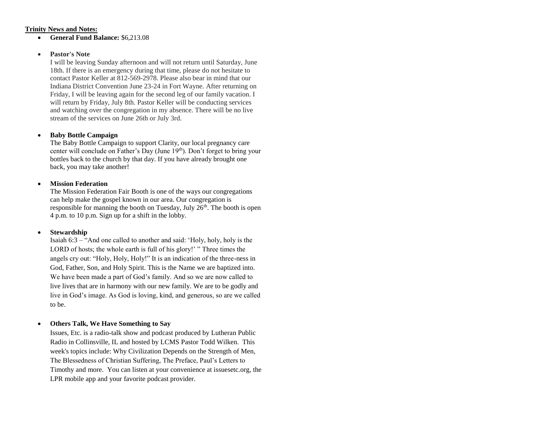#### **Trinity News and Notes:**

**General Fund Balance:** \$6,213.08

#### **Pastor's Note**

I will be leaving Sunday afternoon and will not return until Saturday, June 18th. If there is an emergency during that time, please do not hesitate to contact Pastor Keller at 812-569-2978. Please also bear in mind that our Indiana District Convention June 23-24 in Fort Wayne. After returning on Friday, I will be leaving again for the second leg of our family vacation. I will return by Friday, July 8th. Pastor Keller will be conducting services and watching over the congregation in my absence. There will be no live stream of the services on June 26th or July 3rd.

#### **Baby Bottle Campaign**

The Baby Bottle Campaign to support Clarity, our local pregnancy care center will conclude on Father's Day (June 19th). Don't forget to bring your bottles back to the church by that day. If you have already brought one back, you may take another!

#### **Mission Federation**

The Mission Federation Fair Booth is one of the ways our congregations can help make the gospel known in our area. Our congregation is responsible for manning the booth on Tuesday, July  $26<sup>th</sup>$ . The booth is open 4 p.m. to 10 p.m. Sign up for a shift in the lobby.

#### **Stewardship**

Isaiah 6:3 – "And one called to another and said: 'Holy, holy, holy is the LORD of hosts; the whole earth is full of his glory!' " Three times the angels cry out: "Holy, Holy, Holy!" It is an indication of the three-ness in God, Father, Son, and Holy Spirit. This is the Name we are baptized into. We have been made a part of God's family. And so we are now called to live lives that are in harmony with our new family. We are to be godly and live in God's image. As God is loving, kind, and generous, so are we called to be.

#### **Others Talk, We Have Something to Say**

Issues, Etc. is a radio-talk show and podcast produced by Lutheran Public Radio in Collinsville, IL and hosted by LCMS Pastor Todd Wilken. This week's topics include: Why Civilization Depends on the Strength of Men, The Blessedness of Christian Suffering, The Preface, Paul's Letters to Timothy and more. You can listen at your convenience at issuesetc.org, the LPR mobile app and your favorite podcast provider.